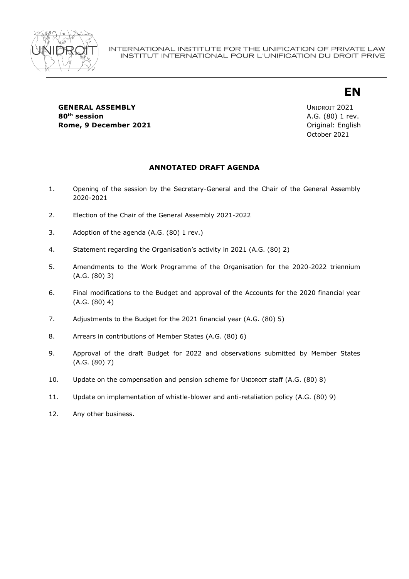

# **EN**

**GENERAL ASSEMBLY CONSUMING A REAL ASSEMBLY UNIDROIT 2021 80th session** A.G. (80) 1 rev. **Rome, 9 December 2021 December 2021 December 2021 December 2021** 

October 2021

## **ANNOTATED DRAFT AGENDA**

- 1. Opening of the session by the Secretary-General and the Chair of the General Assembly 2020-2021
- 2. Election of the Chair of the General Assembly 2021-2022
- 3. Adoption of the agenda (A.G. (80) 1 rev.)
- 4. Statement regarding the Organisation's activity in 2021 (A.G. (80) 2)
- 5. Amendments to the Work Programme of the Organisation for the 2020-2022 triennium (A.G. (80) 3)
- 6. Final modifications to the Budget and approval of the Accounts for the 2020 financial year (A.G. (80) 4)
- 7. Adjustments to the Budget for the 2021 financial year (A.G. (80) 5)
- 8. Arrears in contributions of Member States (A.G. (80) 6)
- 9. Approval of the draft Budget for 2022 and observations submitted by Member States (A.G. (80) 7)
- 10. Update on the compensation and pension scheme for UNIDROIT staff (A.G. (80) 8)
- 11. Update on implementation of whistle-blower and anti-retaliation policy (A.G. (80) 9)
- 12. Any other business.